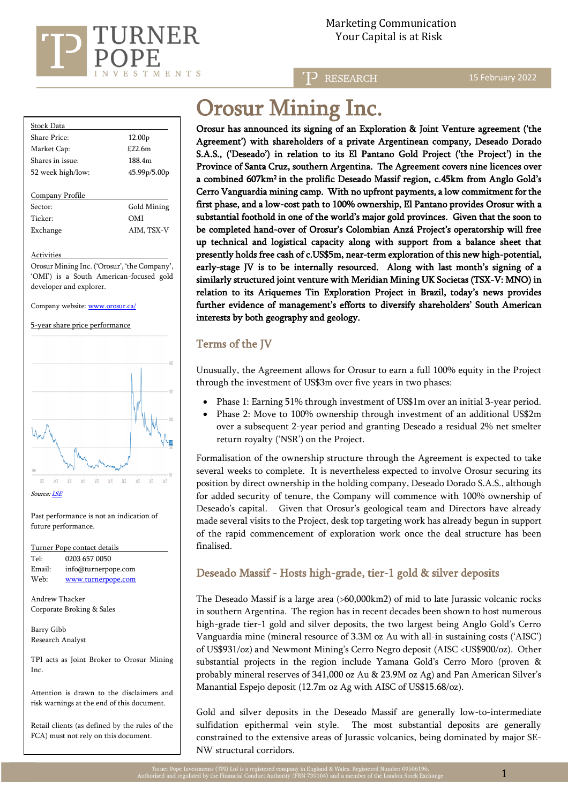

15 February 2022

| Stock Data        |                    |  |
|-------------------|--------------------|--|
| Share Price:      | 12.00 <sub>p</sub> |  |
| Market Cap:       | £22.6m             |  |
| Shares in issue:  | 188.4m             |  |
| 52 week high/low: | 45.99p/5.00p       |  |
|                   |                    |  |
| Company Profile   |                    |  |

Sector: Gold Mining Ticker: OMI Exchange AIM, TSX-V

#### Activities

Orosur Mining Inc. ('Orosur', 'the Company', 'OMI') is a South American-focused gold developer and explorer.

Company website[: www.orosur.ca/](http://www.orosur.ca/) 

5-year share price performance



Source[: LSE](https://www.londonstockexchange.com/stock/OMI/orosur-mining-inc/company-page)

Past performance is not an indication of future performance.

| Turner Pope contact details      |                     |  |  |  |
|----------------------------------|---------------------|--|--|--|
| Tel:                             | 0203 657 0050       |  |  |  |
| Email:                           | info@turnerpope.com |  |  |  |
| Web:                             | www.turnerpope.com  |  |  |  |
|                                  |                     |  |  |  |
| $\Lambda$ as discuss Theoretical |                     |  |  |  |

Andrew Thacker Corporate Broking & Sales

Barry Gibb Research Analyst

TPI acts as Joint Broker to Orosur Mining Inc.

Attention is drawn to the disclaimers and risk warnings at the end of this document.

Retail clients (as defined by the rules of the FCA) must not rely on this document.

# Orosur Mining Inc.

Orosur has announced its signing of an Exploration & Joint Venture agreement ('the Agreement') with shareholders of a private Argentinean company, Deseado Dorado S.A.S., ('Deseado') in relation to its El Pantano Gold Project ('the Project') in the Province of Santa Cruz, southern Argentina. The Agreement covers nine licences over a combined 607km<sup>2</sup>in the prolific Deseado Massif region, c.45km from Anglo Gold's Cerro Vanguardia mining camp. With no upfront payments, a low commitment for the first phase, and a low-cost path to 100% ownership, El Pantano provides Orosur with a substantial foothold in one of the world's major gold provinces. Given that the soon to be completed hand-over of Orosur's Colombian Anzá Project's operatorship will free up technical and logistical capacity along with support from a balance sheet that presently holds free cash of c.US\$5m, near-term exploration of this new high-potential, early-stage JV is to be internally resourced. Along with last month's signing of a similarly structured joint venture with Meridian Mining UK Societas (TSX-V: MNO) in relation to its Ariquemes Tin Exploration Project in Brazil, today's news provides further evidence of management's efforts to diversify shareholders' South American interests by both geography and geology.

## Terms of the JV

Unusually, the Agreement allows for Orosur to earn a full 100% equity in the Project through the investment of US\$3m over five years in two phases:

- Phase 1: Earning 51% through investment of US\$1m over an initial 3-year period.
- Phase 2: Move to 100% ownership through investment of an additional US\$2m over a subsequent 2-year period and granting Deseado a residual 2% net smelter return royalty ('NSR') on the Project.

Formalisation of the ownership structure through the Agreement is expected to take several weeks to complete. It is nevertheless expected to involve Orosur securing its position by direct ownership in the holding company, Deseado Dorado S.A.S., although for added security of tenure, the Company will commence with 100% ownership of Deseado's capital. Given that Orosur's geological team and Directors have already made several visits to the Project, desk top targeting work has already begun in support of the rapid commencement of exploration work once the deal structure has been finalised.

## Deseado Massif - Hosts high-grade, tier-1 gold & silver deposits

The Deseado Massif is a large area (>60,000km2) of mid to late Jurassic volcanic rocks in southern Argentina. The region has in recent decades been shown to host numerous high-grade tier-1 gold and silver deposits, the two largest being Anglo Gold's Cerro Vanguardia mine (mineral resource of 3.3M oz Au with all-in sustaining costs ('AISC') of US\$931/oz) and Newmont Mining's Cerro Negro deposit (AISC <US\$900/oz). Other substantial projects in the region include Yamana Gold's Cerro Moro (proven & probably mineral reserves of 341,000 oz Au & 23.9M oz Ag) and Pan American Silver's Manantial Espejo deposit (12.7m oz Ag with AISC of US\$15.68/oz).

Gold and silver deposits in the Deseado Massif are generally low-to-intermediate sulfidation epithermal vein style. The most substantial deposits are generally constrained to the extensive areas of Jurassic volcanics, being dominated by major SE-NW structural corridors.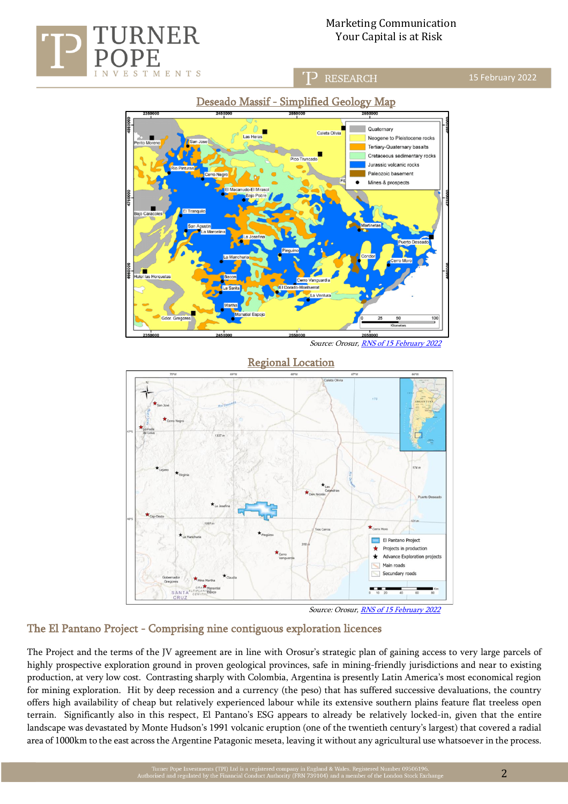



Source: Orosur[, RNS of 15 February 2022](https://www.londonstockexchange.com/news-article/OMI/argentina-update/15328360)



Source: Orosur[, RNS of 15 February 2022](https://www.londonstockexchange.com/news-article/OMI/argentina-update/15328360)

### The El Pantano Project - Comprising nine contiguous exploration licences

ENTS

M

The Project and the terms of the JV agreement are in line with Orosur's strategic plan of gaining access to very large parcels of highly prospective exploration ground in proven geological provinces, safe in mining-friendly jurisdictions and near to existing production, at very low cost. Contrasting sharply with Colombia, Argentina is presently Latin America's most economical region for mining exploration. Hit by deep recession and a currency (the peso) that has suffered successive devaluations, the country offers high availability of cheap but relatively experienced labour while its extensive southern plains feature flat treeless open terrain. Significantly also in this respect, El Pantano's ESG appears to already be relatively locked-in, given that the entire landscape was devastated by Monte Hudson's 1991 volcanic eruption (one of the twentieth century's largest) that covered a radial area of 1000km to the east across the Argentine Patagonic meseta, leaving it without any agricultural use whatsoever in the process.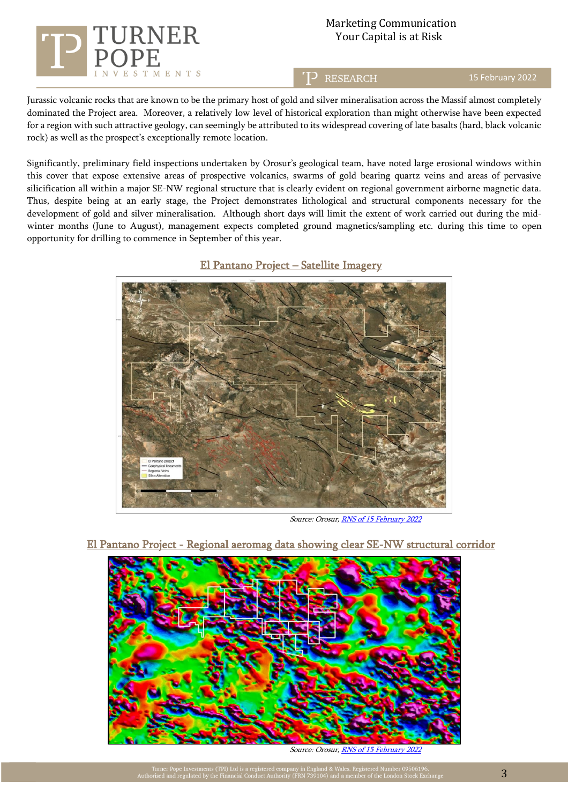

## Marketing Communication RNER Your Capital is at Risk

**RESEARCH** 

15 February 2022

Jurassic volcanic rocks that are known to be the primary host of gold and silver mineralisation across the Massif almost completely dominated the Project area. Moreover, a relatively low level of historical exploration than might otherwise have been expected for a region with such attractive geology, can seemingly be attributed to its widespread covering of late basalts (hard, black volcanic rock) as well as the prospect's exceptionally remote location.

Significantly, preliminary field inspections undertaken by Orosur's geological team, have noted large erosional windows within this cover that expose extensive areas of prospective volcanics, swarms of gold bearing quartz veins and areas of pervasive silicification all within a major SE-NW regional structure that is clearly evident on regional government airborne magnetic data. Thus, despite being at an early stage, the Project demonstrates lithological and structural components necessary for the development of gold and silver mineralisation. Although short days will limit the extent of work carried out during the midwinter months (June to August), management expects completed ground magnetics/sampling etc. during this time to open opportunity for drilling to commence in September of this year.





Source: Orosur[, RNS of 15 February 2022](https://www.londonstockexchange.com/news-article/OMI/argentina-update/15328360)



El Pantano Project - Regional aeromag data showing clear SE-NW structural corridor

Source: Orosur[, RNS of 15 February 2022](https://www.londonstockexchange.com/news-article/OMI/argentina-update/15328360)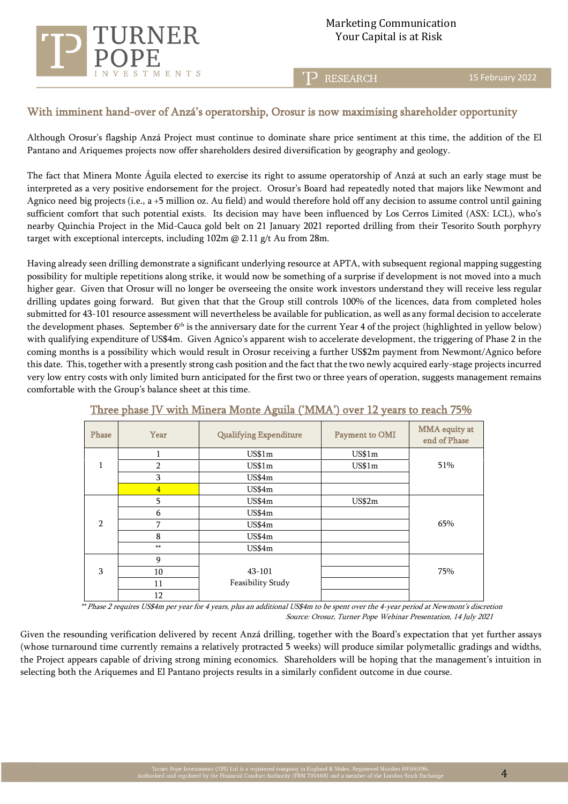Marketing Communication Your Capital is at Risk

**RESEARCH** 

15 February 2022

## With imminent hand-over of Anzá's operatorship, Orosur is now maximising shareholder opportunity

**ENTS** 

Although Orosur's flagship Anzá Project must continue to dominate share price sentiment at this time, the addition of the El Pantano and Ariquemes projects now offer shareholders desired diversification by geography and geology.

The fact that Minera Monte Águila elected to exercise its right to assume operatorship of Anzá at such an early stage must be interpreted as a very positive endorsement for the project. Orosur's Board had repeatedly noted that majors like Newmont and Agnico need big projects (i.e., a +5 million oz. Au field) and would therefore hold off any decision to assume control until gaining sufficient comfort that such potential exists. Its decision may have been influenced by Los Cerros Limited (ASX: LCL), who's nearby Quinchia Project in the Mid-Cauca gold belt on 21 January 2021 reported drilling from their Tesorito South porphyry target with exceptional intercepts, including  $102m \omega$  2.11 g/t Au from 28m.

Having already seen drilling demonstrate a significant underlying resource at APTA, with subsequent regional mapping suggesting possibility for multiple repetitions along strike, it would now be something of a surprise if development is not moved into a much higher gear. Given that Orosur will no longer be overseeing the onsite work investors understand they will receive less regular drilling updates going forward. But given that that the Group still controls 100% of the licences, data from completed holes submitted for 43-101 resource assessment will nevertheless be available for publication, as well as any formal decision to accelerate the development phases. September 6<sup>th</sup> is the anniversary date for the current Year 4 of the project (highlighted in yellow below) with qualifying expenditure of US\$4m. Given Agnico's apparent wish to accelerate development, the triggering of Phase 2 in the coming months is a possibility which would result in Orosur receiving a further US\$2m payment from Newmont/Agnico before this date. This, together with a presently strong cash position and the fact that the two newly acquired early-stage projects incurred very low entry costs with only limited burn anticipated for the first two or three years of operation, suggests management remains comfortable with the Group's balance sheet at this time.

| -----<br>------------<br>. |                |                               |                |                               |  |  |
|----------------------------|----------------|-------------------------------|----------------|-------------------------------|--|--|
| Phase                      | Year           | <b>Qualifying Expenditure</b> | Payment to OMI | MMA equity at<br>end of Phase |  |  |
|                            |                | US\$1m                        | US\$1m         |                               |  |  |
| $\mathbf{1}$               | $\overline{2}$ | US\$1m                        | US\$1m         | 51%                           |  |  |
|                            | 3              | US\$4m                        |                |                               |  |  |
|                            | $\overline{4}$ | US\$4m                        |                |                               |  |  |
|                            | 5              | US\$4m                        | US\$2m         |                               |  |  |
|                            | 6              | <b>US\$4m</b>                 |                |                               |  |  |
| $\overline{2}$             | 7              | US\$4m                        |                | 65%                           |  |  |
|                            | 8              | US\$4m                        |                |                               |  |  |
|                            | **             | <b>US\$4m</b>                 |                |                               |  |  |
|                            | 9              |                               |                |                               |  |  |
| 3                          | 10             | $43 - 101$                    |                | 75%                           |  |  |
|                            | 11             | Feasibility Study             |                |                               |  |  |
|                            | 12             |                               |                |                               |  |  |

#### Three phase JV with Minera Monte Aguila ('MMA') over 12 years to reach 75%

 \*\* Phase 2 requires US\$4m per year for 4 years, plus an additional US\$4m to be spent over the 4-year period at Newmont's discretion Source: Orosur, Turner Pope Webinar Presentation, 14 July 2021

Given the resounding verification delivered by recent Anzá drilling, together with the Board's expectation that yet further assays (whose turnaround time currently remains a relatively protracted 5 weeks) will produce similar polymetallic gradings and widths, the Project appears capable of driving strong mining economics. Shareholders will be hoping that the management's intuition in selecting both the Ariquemes and El Pantano projects results in a similarly confident outcome in due course.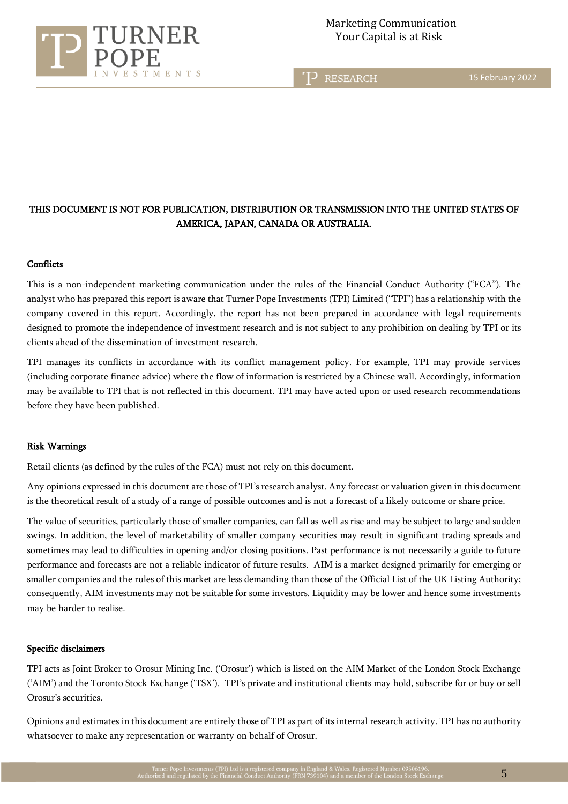

15 February 2022

## THIS DOCUMENT IS NOT FOR PUBLICATION, DISTRIBUTION OR TRANSMISSION INTO THE UNITED STATES OF AMERICA, JAPAN, CANADA OR AUSTRALIA.

#### **Conflicts**

This is a non-independent marketing communication under the rules of the Financial Conduct Authority ("FCA"). The analyst who has prepared this report is aware that Turner Pope Investments (TPI) Limited ("TPI") has a relationship with the company covered in this report. Accordingly, the report has not been prepared in accordance with legal requirements designed to promote the independence of investment research and is not subject to any prohibition on dealing by TPI or its clients ahead of the dissemination of investment research.

TPI manages its conflicts in accordance with its conflict management policy. For example, TPI may provide services (including corporate finance advice) where the flow of information is restricted by a Chinese wall. Accordingly, information may be available to TPI that is not reflected in this document. TPI may have acted upon or used research recommendations before they have been published.

#### Risk Warnings

Retail clients (as defined by the rules of the FCA) must not rely on this document.

Any opinions expressed in this document are those of TPI's research analyst. Any forecast or valuation given in this document is the theoretical result of a study of a range of possible outcomes and is not a forecast of a likely outcome or share price.

The value of securities, particularly those of smaller companies, can fall as well as rise and may be subject to large and sudden swings. In addition, the level of marketability of smaller company securities may result in significant trading spreads and sometimes may lead to difficulties in opening and/or closing positions. Past performance is not necessarily a guide to future performance and forecasts are not a reliable indicator of future results. AIM is a market designed primarily for emerging or smaller companies and the rules of this market are less demanding than those of the Official List of the UK Listing Authority; consequently, AIM investments may not be suitable for some investors. Liquidity may be lower and hence some investments may be harder to realise.

#### Specific disclaimers

TPI acts as Joint Broker to Orosur Mining Inc. ('Orosur') which is listed on the AIM Market of the London Stock Exchange ('AIM') and the Toronto Stock Exchange ('TSX'). TPI's private and institutional clients may hold, subscribe for or buy or sell Orosur's securities.

Opinions and estimates in this document are entirely those of TPI as part of its internal research activity. TPI has no authority whatsoever to make any representation or warranty on behalf of Orosur.